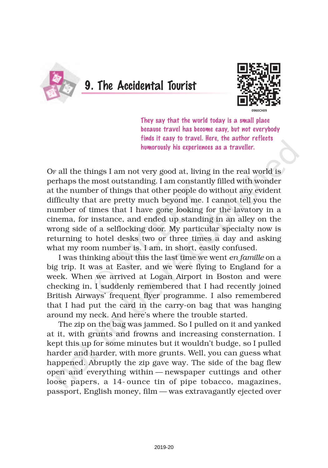

9. The Accidental Tourist



They say that the world today is a small place because travel has become easy, but not everybody finds it easy to travel. Here, the author reflects humorously his experiences as a traveller.

OF all the things I am not very good at, living in the real world is perhaps the most outstanding. I am constantly filled with wonder at the number of things that other people do without any evident difficulty that are pretty much beyond me. I cannot tell you the number of times that I have gone looking for the lavatory in a cinema, for instance, and ended up standing in an alley on the wrong side of a selflocking door. My particular specialty now is returning to hotel desks two or three times a day and asking what my room number is. I am, in short, easily confused.

I was thinking about this the last time we went *en famille* on a big trip. It was at Easter, and we were flying to England for a week. When we arrived at Logan Airport in Boston and were checking in, I suddenly remembered that I had recently joined British Airways' frequent flyer programme. I also remembered that I had put the card in the carry-on bag that was hanging around my neck. And here's where the trouble started.

The zip on the bag was jammed. So I pulled on it and yanked at it, with grunts and frowns and increasing consternation. I kept this up for some minutes but it wouldn't budge, so I pulled harder and harder, with more grunts. Well, you can guess what happened. Abruptly the zip gave way. The side of the bag flew open and everything within — newspaper cuttings and other loose papers, a 14- ounce tin of pipe tobacco, magazines, passport, English money, film — was extravagantly ejected over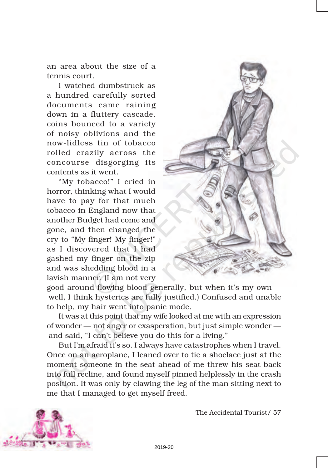an area about the size of a tennis court.

I watched dumbstruck as a hundred carefully sorted documents came raining down in a fluttery cascade, coins bounced to a variety of noisy oblivions and the now-lidless tin of tobacco rolled crazily across the concourse disgorging its contents as it went.

"My tobacco!" I cried in horror, thinking what I would have to pay for that much tobacco in England now that another Budget had come and gone, and then changed the cry to "My finger! My finger!" as I discovered that I had gashed my finger on the zip and was shedding blood in a lavish manner. (I am not very



good around flowing blood generally, but when it's my own well, I think hysterics are fully justified.) Confused and unable to help, my hair went into panic mode.

It was at this point that my wife looked at me with an expression of wonder — not anger or exasperation, but just simple wonder and said, "I can't believe you do this for a living."

But I'm afraid it's so. I always have catastrophes when I travel. Once on an aeroplane, I leaned over to tie a shoelace just at the moment someone in the seat ahead of me threw his seat back into full recline, and found myself pinned helplessly in the crash position. It was only by clawing the leg of the man sitting next to me that I managed to get myself freed.



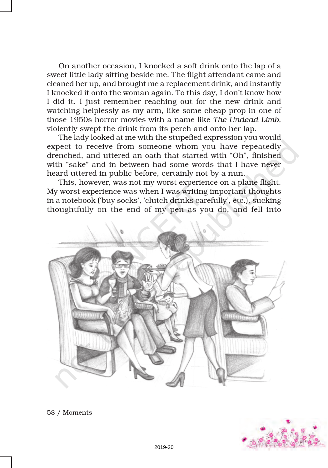On another occasion, I knocked a soft drink onto the lap of a sweet little lady sitting beside me. The flight attendant came and cleaned her up, and brought me a replacement drink, and instantly I knocked it onto the woman again. To this day, I don't know how I did it. I just remember reaching out for the new drink and watching helplessly as my arm, like some cheap prop in one of those 1950s horror movies with a name like *The Undead Limb*, violently swept the drink from its perch and onto her lap.

The lady looked at me with the stupefied expression you would expect to receive from someone whom you have repeatedly drenched, and uttered an oath that started with "Oh", finished with "sake" and in between had some words that I have never heard uttered in public before, certainly not by a nun.

This, however, was not my worst experience on a plane flight. My worst experience was when I was writing important thoughts in a notebook ('buy socks', 'clutch drinks carefully', etc.), sucking thoughtfully on the end of my pen as you do, and fell into





58 / Moments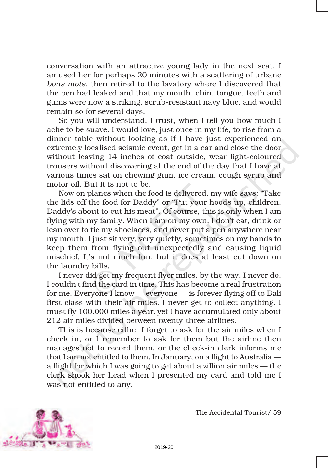conversation with an attractive young lady in the next seat. I amused her for perhaps 20 minutes with a scattering of urbane *bons mots*, then retired to the lavatory where I discovered that the pen had leaked and that my mouth, chin, tongue, teeth and gums were now a striking, scrub-resistant navy blue, and would remain so for several days.

So you will understand, I trust, when I tell you how much I ache to be suave. I would love, just once in my life, to rise from a dinner table without looking as if I have just experienced an extremely localised seismic event, get in a car and close the door without leaving 14 inches of coat outside, wear light-coloured trousers without discovering at the end of the day that I have at various times sat on chewing gum, ice cream, cough syrup and motor oil. But it is not to be.

Now on planes when the food is delivered, my wife says: "Take the lids off the food for Daddy" or "Put your hoods up, children. Daddy's about to cut his meat". Of course, this is only when I am flying with my family. When I am on my own, I don't eat, drink or lean over to tie my shoelaces, and never put a pen anywhere near my mouth. I just sit very, very quietly, sometimes on my hands to keep them from flying out unexpectedly and causing liquid mischief. It's not much fun, but it does at least cut down on the laundry bills.

I never did get my frequent flyer miles, by the way. I never do. I couldn't find the card in time. This has become a real frustration for me. Everyone I know — everyone — is forever flying off to Bali first class with their air miles. I never get to collect anything. I must fly 100,000 miles a year, yet I have accumulated only about 212 air miles divided between twenty-three airlines.

This is because either I forget to ask for the air miles when I check in, or I remember to ask for them but the airline then manages not to record them, or the check-in clerk informs me that I am not entitled to them. In January, on a flight to Australia a flight for which I was going to get about a zillion air miles — the clerk shook her head when I presented my card and told me I was not entitled to any.



The Accidental Tourist/ 59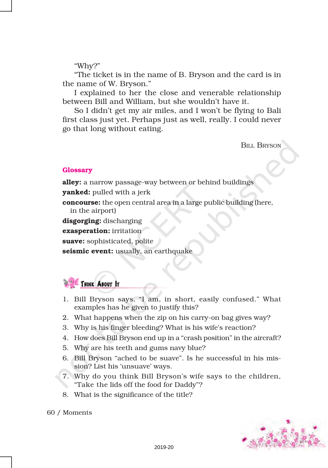## "Why?"

"The ticket is in the name of B. Bryson and the card is in the name of W. Bryson."

I explained to her the close and venerable relationship between Bill and William, but she wouldn't have it.

So I didn't get my air miles, and I won't be flying to Bali first class just yet. Perhaps just as well, really. I could never go that long without eating.

**BILL BRYSON** 

## **Glossary**

alley: a narrow passage-way between or behind buildings

**vanked:** pulled with a jerk

**concourse:** the open central area in a large public building (here, in the airport)

disgorging: discharging

exasperation: irritation

suave: sophisticated, polite

seismic event: usually, an earthquake



- 1. Bill Bryson says, "I am, in short, easily confused." What examples has he given to justify this?
- 2. What happens when the zip on his carry-on bag gives way?
- 3. Why is his finger bleeding? What is his wife's reaction?
- 4. How does Bill Bryson end up in a "crash position" in the aircraft?
- 5. Why are his teeth and gums navy blue?
- 6. Bill Bryson "ached to be suave". Is he successful in his mission? List his 'unsuave' ways.
- 7. Why do you think Bill Bryson's wife says to the children, "Take the lids off the food for Daddy"?
- 8. What is the significance of the title?

60 / Moments